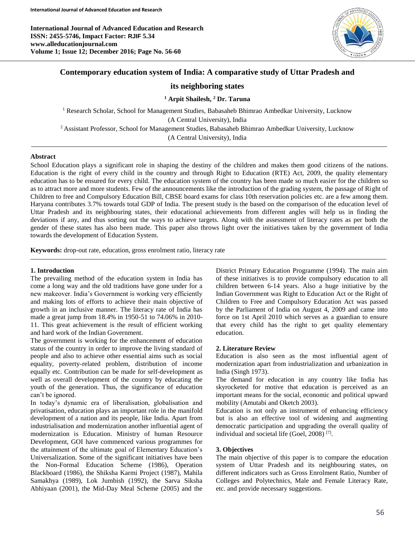**International Journal of Advanced Education and Research ISSN: 2455-5746, Impact Factor: RJIF 5.34 www.alleducationjournal.com Volume 1; Issue 12; December 2016; Page No. 56-60**



# **Contemporary education system of India: A comparative study of Uttar Pradesh and**

# **its neighboring states**

**<sup>1</sup> Arpit Shailesh, <sup>2</sup> Dr. Taruna**

<sup>1</sup> Research Scholar, School for Management Studies, Babasaheb Bhimrao Ambedkar University, Lucknow (A Central University), India <sup>2</sup> Assistant Professor, School for Management Studies, Babasaheb Bhimrao Ambedkar University, Lucknow (A Central University), India

## **Abstract**

School Education plays a significant role in shaping the destiny of the children and makes them good citizens of the nations. Education is the right of every child in the country and through Right to Education (RTE) Act, 2009, the quality elementary education has to be ensured for every child. The education system of the country has been made so much easier for the children so as to attract more and more students. Few of the announcements like the introduction of the grading system, the passage of Right of Children to free and Compulsory Education Bill, CBSE board exams for class 10th reservation policies etc. are a few among them. Haryana contributes 3.7% towards total GDP of India. The present study is the based on the comparison of the education level of Uttar Pradesh and its neighbouring states, their educational achievements from different angles will help us in finding the deviations if any, and thus sorting out the ways to achieve targets. Along with the assessment of literacy rates as per both the gender of these states has also been made. This paper also throws light over the initiatives taken by the government of India towards the development of Education System.

**Keywords:** drop-out rate, education, gross enrolment ratio, literacy rate

#### **1. Introduction**

The prevailing method of the education system in India has come a long way and the old traditions have gone under for a new makeover. India's Government is working very efficiently and making lots of efforts to achieve their main objective of growth in an inclusive manner. The literacy rate of India has made a great jump from 18.4% in 1950-51 to 74.06% in 2010- 11. This great achievement is the result of efficient working and hard work of the Indian Government.

The government is working for the enhancement of education status of the country in order to improve the living standard of people and also to achieve other essential aims such as social equality, poverty-related problem, distribution of income equally etc. Contribution can be made for self-development as well as overall development of the country by educating the youth of the generation. Thus, the significance of education can't be ignored.

In today's dynamic era of liberalisation, globalisation and privatisation, education plays an important role in the manifold development of a nation and its people, like India. Apart from industrialisation and modernization another influential agent of modernization is Education. Ministry of human Resource Development, GOI have commenced various programmes for the attainment of the ultimate goal of Elementary Education's Universalization. Some of the significant initiatives have been the Non-Formal Education Scheme (1986), Operation Blackboard (1986), the Shiksha Karmi Project (1987), Mahila Samakhya (1989), Lok Jumbish (1992), the Sarva Siksha Abhiyaan (2001), the Mid-Day Meal Scheme (2005) and the District Primary Education Programme (1994). The main aim of these initiatives is to provide compulsory education to all children between 6-14 years. Also a huge initiative by the Indian Government was Right to Education Act or the Right of Children to Free and Compulsory Education Act was passed by the Parliament of India on August 4, 2009 and came into force on 1st April 2010 which serves as a guardian to ensure that every child has the right to get quality elementary education.

#### **2. Literature Review**

Education is also seen as the most influential agent of modernization apart from industrialization and urbanization in India (Singh 1973).

The demand for education in any country like India has skyrocketed for motive that education is perceived as an important means for the social, economic and political upward mobility (Amutabi and Oketch 2003).

Education is not only an instrument of enhancing efficiency but is also an effective tool of widening and augmenting democratic participation and upgrading the overall quality of individual and societal life (Goel, 2008)<sup>[7]</sup>.

#### **3. Objectives**

The main objective of this paper is to compare the education system of Uttar Pradesh and its neighbouring states, on different indicators such as Gross Enrolment Ratio, Number of Colleges and Polytechnics, Male and Female Literacy Rate, etc. and provide necessary suggestions.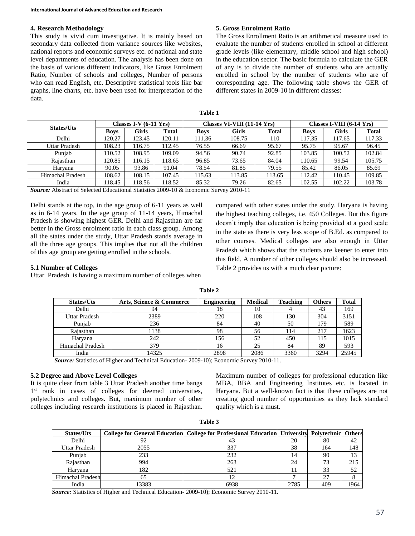#### **4. Research Methodology**

This study is vivid cum investigative. It is mainly based on secondary data collected from variance sources like websites, national reports and economic surveys etc. of national and state level departments of education. The analysis has been done on the basis of various different indicators, like Gross Enrolment Ratio, Number of schools and colleges, Number of persons who can read English, etc. Descriptive statistical tools like bar graphs, line charts, etc. have been used for interpretation of the data.

# **5. Gross Enrolment Ratio**

The Gross Enrollment Ratio is an arithmetical measure used to evaluate the number of students enrolled in school at different grade levels (like elementary, middle school and high school) in the education sector. The basic formula to calculate the GER of any is to divide the number of students who are actually enrolled in school by the number of students who are of corresponding age. The following table shows the GER of different states in 2009-10 in different classes:

| <b>States/Uts</b> | Classes I-V $(6-11 \text{ Yrs})$ |        | Classes VI-VIII (11-14 Yrs) |             |        | Classes I-VIII $(6-14 \text{ Yrs})$ |             |              |              |
|-------------------|----------------------------------|--------|-----------------------------|-------------|--------|-------------------------------------|-------------|--------------|--------------|
|                   | <b>Boys</b>                      | Girls  | Total                       | <b>Boys</b> | Girls  | <b>Total</b>                        | <b>Boys</b> | <b>Girls</b> | <b>Total</b> |
| Delhi             | 120.27                           | 123.45 | 120.11                      | 111.36      | 108.75 | 110                                 | 117.35      | 117.65       | 117.33       |
| Uttar Pradesh     | 108.23                           | 116.75 | 112.45                      | 76.55       | 66.69  | 95.67                               | 95.75       | 95.67        | 96.45        |
| Punjab            | 110.52                           | 108.95 | 109.09                      | 94.56       | 90.74  | 92.85                               | 103.85      | 100.52       | 102.84       |
| Raiasthan         | 120.85                           | 116.15 | 118.65                      | 96.85       | 73.65  | 84.04                               | 110.65      | 99.54        | 105.75       |
| Harvana           | 90.05                            | 93.86  | 91.04                       | 78.54       | 81.85  | 79.55                               | 85.42       | 86.05        | 85.69        |
| Himachal Pradesh  | 108.62                           | 108.15 | 107.45                      | 115.63      | 113.85 | 113.65                              | 112.42      | 110.45       | 109.85       |
| India             | 118.45                           | 118.56 | 118.52                      | 85.32       | 79.26  | 82.65                               | 102.55      | 102.22       | 103.78       |

*Source:* Abstract of Selected Educational Statistics 2009-10 & Economic Survey 2010-11

Delhi stands at the top, in the age group of 6-11 years as well as in 6-14 years. In the age group of 11-14 years, Himachal Pradesh is showing highest GER. Delhi and Rajasthan are far better in the Gross enrolment ratio in each class group. Among all the states under the study, Uttar Pradesh stands average in all the three age groups. This implies that not all the children of this age group are getting enrolled in the schools.

# compared with other states under the study. Haryana is having the highest teaching colleges, i.e. 450 Colleges. But this figure doesn't imply that education is being provided at a good scale in the state as there is very less scope of B.Ed. as compared to other courses. Medical colleges are also enough in Uttar Pradesh which shows that the students are keener to enter into this field. A number of other colleges should also be increased. Table 2 provides us with a much clear picture:

#### **5.1 Number of Colleges**

Uttar Pradesh is having a maximum number of colleges when

| <b>States/Uts</b> | Arts, Science & Commerce | <b>Engineering</b> | <b>Medical</b> | <b>Teaching</b> | <b>Others</b> | Total |
|-------------------|--------------------------|--------------------|----------------|-----------------|---------------|-------|
| Delhi             | 94                       | 18                 | 10             |                 | 43            | 169   |
| Uttar Pradesh     | 2389                     | 220                | 108            | 130             | 304           | 3151  |
| Punjab            | 236                      | 84                 | 40             | 50              | 179           | 589   |
| Rajasthan         | 1138                     | 98                 | 56             | 114             | 217           | 1623  |
| Harvana           | 242                      | 156                | 52             | 450             | 115           | 1015  |
| Himachal Pradesh  | 379                      | 16                 | 25             | 84              | 89            | 593   |
| India             | 14325                    | 2898               | 2086           | 3360            | 3294          | 25945 |

**Table 2**

*Source:* Statistics of Higher and Technical Education- 2009-10); Economic Survey 2010-11.

### **5.2 Degree and Above Level Colleges**

It is quite clear from table 3 Uttar Pradesh another time bangs 1<sup>st</sup> rank in cases of colleges for deemed universities, polytechnics and colleges. But, maximum number of other colleges including research institutions is placed in Rajasthan.

Maximum number of colleges for professional education like MBA, BBA and Engineering Institutes etc. is located in Haryana. But a well-known fact is that these colleges are not creating good number of opportunities as they lack standard quality which is a must.

| <b>States/Uts</b> |       | <b>College for General Education College for Professional Education University Polytechnic</b> |      |     | <b>Others</b> |
|-------------------|-------|------------------------------------------------------------------------------------------------|------|-----|---------------|
| Delhi             | 92    |                                                                                                | 20   | 80  |               |
| Uttar Pradesh     | 2055  | 337                                                                                            | 38   | 164 | 148           |
| Puniab            | 233   | 232                                                                                            | 14   | 90  |               |
| Rajasthan         | 994   | 263                                                                                            | 24   | 73  | 215           |
| Haryana           | 182   | 521                                                                                            |      | 33  | 52            |
| Himachal Pradesh  | 65    |                                                                                                |      | 27  |               |
| India             | 13383 | 6938                                                                                           | 2785 | 409 | 1964          |

**Table 3**

*Source:* Statistics of Higher and Technical Education- 2009-10); Economic Survey 2010-11.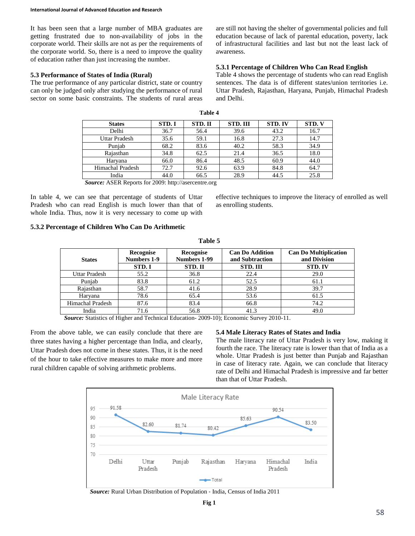It has been seen that a large number of MBA graduates are getting frustrated due to non-availability of jobs in the corporate world. Their skills are not as per the requirements of the corporate world. So, there is a need to improve the quality of education rather than just increasing the number.

#### **5.3 Performance of States of India (Rural)**

The true performance of any particular district, state or country can only be judged only after studying the performance of rural sector on some basic constraints. The students of rural areas are still not having the shelter of governmental policies and full education because of lack of parental education, poverty, lack of infrastructural facilities and last but not the least lack of awareness.

#### **5.3.1 Percentage of Children Who Can Read English**

Table 4 shows the percentage of students who can read English sentences. The data is of different states/union territories i.e. Uttar Pradesh, Rajasthan, Haryana, Punjab, Himachal Pradesh and Delhi.

| <b>States</b>    | STD.I | STD. II | <b>STD. III</b> | <b>STD. IV</b> | STD. V |
|------------------|-------|---------|-----------------|----------------|--------|
| Delhi            | 36.7  | 56.4    | 39.6            | 43.2           | 16.7   |
| Uttar Pradesh    | 35.6  | 59.1    | 16.8            | 27.3           | 14.7   |
| Punjab           | 68.2  | 83.6    | 40.2            | 58.3           | 34.9   |
| Rajasthan        | 34.8  | 62.5    | 21.4            | 36.5           | 18.0   |
| Harvana          | 66.0  | 86.4    | 48.5            | 60.9           | 44.0   |
| Himachal Pradesh | 72.7  | 92.6    | 63.9            | 84.8           | 64.7   |
| India            | 44.0  | 66.5    | 28.9            | 44.5           | 25.8   |

**Table 4**

*Source:* ASER Reports for 2009: http://asercentre.org

In table 4, we can see that percentage of students of Uttar Pradesh who can read English is much lower than that of whole India. Thus, now it is very necessary to come up with effective techniques to improve the literacy of enrolled as well as enrolling students.

# **5.3.2 Percentage of Children Who Can Do Arithmetic**

|                  |                                 | .                                |                                           |                                              |  |
|------------------|---------------------------------|----------------------------------|-------------------------------------------|----------------------------------------------|--|
| <b>States</b>    | Recognise<br><b>Numbers 1-9</b> | Recognise<br><b>Numbers 1-99</b> | <b>Can Do Addition</b><br>and Subtraction | <b>Can Do Multiplication</b><br>and Division |  |
|                  | STD.I                           | STD. II                          | <b>STD. III</b>                           | <b>STD.IV</b>                                |  |
| Uttar Pradesh    | 55.2                            | 36.8                             | 22.4                                      | 29.0                                         |  |
| Punjab           | 83.8                            | 61.2                             | 52.5                                      | 61.1                                         |  |
| Rajasthan        | 58.7                            | 41.6                             | 28.9                                      | 39.7                                         |  |
| Haryana          | 78.6                            | 65.4                             | 53.6                                      | 61.5                                         |  |
| Himachal Pradesh | 87.6                            | 83.4                             | 66.8                                      | 74.2                                         |  |
| India            | 71.6                            | 56.8                             | 41.3                                      | 49.0                                         |  |

**Table 5**

*Source:* Statistics of Higher and Technical Education- 2009-10); Economic Survey 2010-11.

From the above table, we can easily conclude that there are three states having a higher percentage than India, and clearly, Uttar Pradesh does not come in these states. Thus, it is the need of the hour to take effective measures to make more and more rural children capable of solving arithmetic problems.

#### **5.4 Male Literacy Rates of States and India**

The male literacy rate of Uttar Pradesh is very low, making it fourth the race. The literacy rate is lower than that of India as a whole. Uttar Pradesh is just better than Punjab and Rajasthan in case of literacy rate. Again, we can conclude that literacy rate of Delhi and Himachal Pradesh is impressive and far better than that of Uttar Pradesh.



*Source:* Rural Urban Distribution of Population ‐ India, Census of India 2011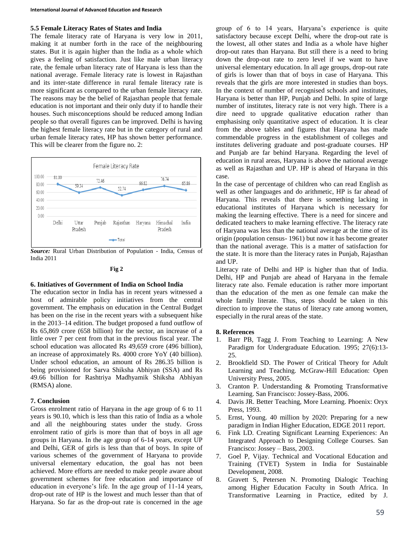#### **5.5 Female Literacy Rates of States and India**

The female literacy rate of Haryana is very low in 2011, making it at number forth in the race of the neighbouring states. But it is again higher than the India as a whole which gives a feeling of satisfaction. Just like male urban literacy rate, the female urban literacy rate of Haryana is less than the national average. Female literacy rate is lowest in Rajasthan and its inter-state difference in rural female literacy rate is more significant as compared to the urban female literacy rate. The reasons may be the belief of Rajasthan people that female education is not important and their only duty if to handle their houses. Such misconceptions should be reduced among Indian people so that overall figures can be improved. Delhi is having the highest female literacy rate but in the category of rural and urban female literacy rates, HP has shown better performance. This will be clearer from the figure no. 2:



*Source:* Rural Urban Distribution of Population ‐ India, Census of India 2011

#### **Fig 2**

#### **6. Initiatives of Government of India on School India**

The education sector in India has in recent years witnessed a host of admirable policy initiatives from the central government. The emphasis on education in the Central Budget has been on the rise in the recent years with a subsequent hike in the 2013–14 edition. The budget proposed a fund outflow of Rs 65,869 crore (658 billion) for the sector, an increase of a little over 7 per cent from that in the previous fiscal year. The school education was allocated Rs 49,659 crore (496 billion), an increase of approximately Rs. 4000 crore YoY (40 billion). Under school education, an amount of Rs 286.35 billion is being provisioned for Sarva Shiksha Abhiyan (SSA) and Rs 49.66 billion for Rashtriya Madhyamik Shiksha Abhiyan (RMSA) alone.

#### **7. Conclusion**

Gross enrolment ratio of Haryana in the age group of 6 to 11 years is 90.10, which is less than this ratio of India as a whole and all the neighbouring states under the study. Gross enrolment ratio of girls is more than that of boys in all age groups in Haryana. In the age group of 6-14 years, except UP and Delhi, GER of girls is less than that of boys. In spite of various schemes of the government of Haryana to provide universal elementary education, the goal has not been achieved. More efforts are needed to make people aware about government schemes for free education and importance of education in everyone's life. In the age group of 11-14 years, drop-out rate of HP is the lowest and much lesser than that of Haryana. So far as the drop-out rate is concerned in the age group of 6 to 14 years, Haryana's experience is quite satisfactory because except Delhi, where the drop-out rate is the lowest, all other states and India as a whole have higher drop-out rates than Haryana. But still there is a need to bring down the drop-out rate to zero level if we want to have universal elementary education. In all age groups, drop-out rate of girls is lower than that of boys in case of Haryana. This reveals that the girls are more interested in studies than boys. In the context of number of recognised schools and institutes, Haryana is better than HP, Punjab and Delhi. In spite of large number of institutes, literacy rate is not very high. There is a dire need to upgrade qualitative education rather than emphasising only quantitative aspect of education. It is clear from the above tables and figures that Haryana has made commendable progress in the establishment of colleges and institutes delivering graduate and post-graduate courses. HP and Punjab are far behind Haryana. Regarding the level of education in rural areas, Haryana is above the national average as well as Rajasthan and UP. HP is ahead of Haryana in this case.

In the case of percentage of children who can read English as well as other languages and do arithmetic, HP is far ahead of Haryana. This reveals that there is something lacking in educational institutes of Haryana which is necessary for making the learning effective. There is a need for sincere and dedicated teachers to make learning effective. The literacy rate of Haryana was less than the national average at the time of its origin (population census- 1961) but now it has become greater than the national average. This is a matter of satisfaction for the state. It is more than the literacy rates in Punjab, Rajasthan and UP.

Literacy rate of Delhi and HP is higher than that of India. Delhi, HP and Punjab are ahead of Haryana in the female literacy rate also. Female education is rather more important than the education of the men as one female can make the whole family literate. Thus, steps should be taken in this direction to improve the status of literacy rate among women, especially in the rural areas of the state.

#### **8. References**

- 1. Barr ΡΒ, Tagg J. From Teaching to Learning: A New Paradigm for Undergraduate Education. 1995; 27(6):13- 25.
- 2. Brookfield SD. The Power of Critical Theory for Adult Learning and Teaching. McGraw-Hill Education: Open University Press, 2005.
- 3. Cranton P. Understanding & Promoting Transformative Learning. San Francisco: Jossey-Bass, 2006.
- 4. Davis JR. Better Teaching, More Learning. Phoenix: Oryx Press, 1993.
- 5. Ernst, Young. 40 million by 2020: Preparing for a new paradigm in Indian Higher Education, EDGE 2011 report.
- 6. Fink LD. Creating Significant Learning Experiences: An Integrated Approach to Designing College Courses. San Francisco: Jossey – Bass, 2003.
- 7. Goel P, Vijay. Technical and Vocational Education and Training (TVET) System in India for Sustainable Development, 2008.
- 8. Gravett S, Petersen N. Promoting Dialogic Teaching among Higher Education Faculty in South Africa. In Transformative Learning in Practice, edited by J.